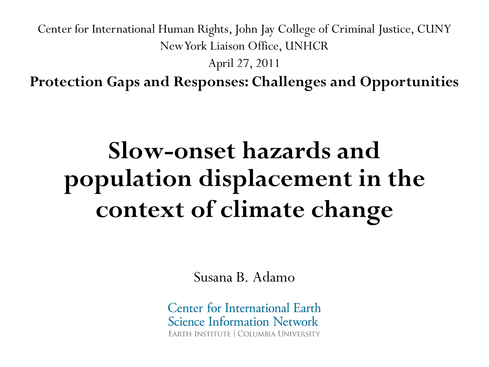Center for International Human Rights, John Jay College of Criminal Justice, CUNY New York Liaison Office, UNHCR

April 27, 2011

**Protection Gaps and Responses: Challenges and Opportunities**

# **Slow-onset hazards and population displacement in the context of climate change**

Susana B. Adamo

Center for International Earth **Science Information Network** EARTH INSTITUTE | COLUMBIA UNIVERSITY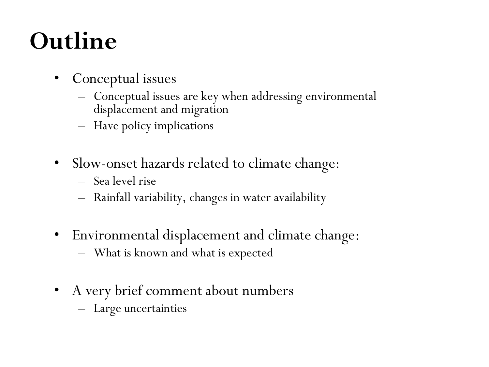# **Outline**

- Conceptual issues
	- Conceptual issues are key when addressing environmental displacement and migration
	- Have policy implications
- Slow-onset hazards related to climate change:
	- Sea level rise
	- Rainfall variability, changes in water availability
- Environmental displacement and climate change:
	- What is known and what is expected
- A very brief comment about numbers
	- Large uncertainties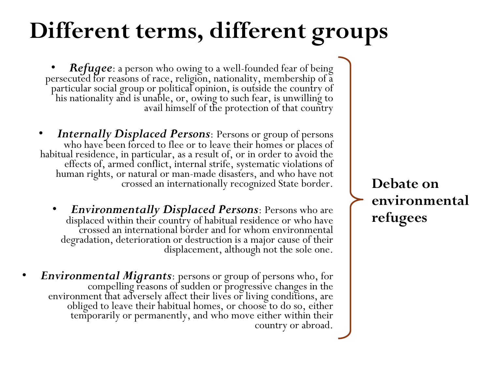# **Different terms, different groups**

**Refugee**: a person who owing to a well-founded fear of being persecuted for reasons of race, religion, nationality, membership of a particular social group or political opinion, is outside the country of his nationality and is unable, or, owing to such fear, is unwilling to avail himself of the protection of that country

- *Internally Displaced Persons*: Persons or group of persons who have been forced to flee or to leave their homes or places of habitual residence, in particular, as a result of, or in order to avoid the effects of, armed conflict, internal strife, systematic violations of human rights, or natural or man-made disasters, and who have not crossed an internationally recognized State border.
	- *Environmentally Displaced Persons*: Persons who are displaced within their country of habitual residence or who have crossed an international border and for whom environmental degradation, deterioration or destruction is a major cause of their displacement, although not the sole one.
- *Environmental Migrants*: persons or group of persons who, for compelling reasons of sudden or progressive changes in the environment that adversely affect their lives or living conditions, are obliged to leave their habitual homes, or choose to do so, either temporarily or permanently, and who move either within their country or abroad.

**Debate on environmental refugees**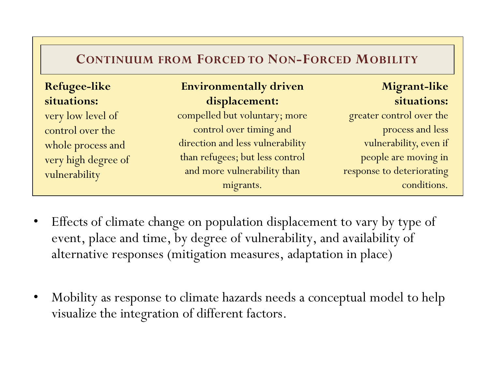| <b>CONTINUUM FROM FORCED TO NON-FORCED MOBILITY</b> |  |  |  |
|-----------------------------------------------------|--|--|--|
|-----------------------------------------------------|--|--|--|

| <b>Refugee-like</b> | <b>Environmentally driven</b>    | Migrant-like              |
|---------------------|----------------------------------|---------------------------|
| situations:         | displacement:                    | situations:               |
| very low level of   | compelled but voluntary; more    | greater control over the  |
| control over the    | control over timing and          | process and less          |
| whole process and   | direction and less vulnerability | vulnerability, even if    |
| very high degree of | than refugees; but less control  | people are moving in      |
| vulnerability       | and more vulnerability than      | response to deteriorating |
|                     | migrants.                        | conditions.               |

- Effects of climate change on population displacement to vary by type of event, place and time, by degree of vulnerability, and availability of alternative responses (mitigation measures, adaptation in place)
- Mobility as response to climate hazards needs a conceptual model to help visualize the integration of different factors.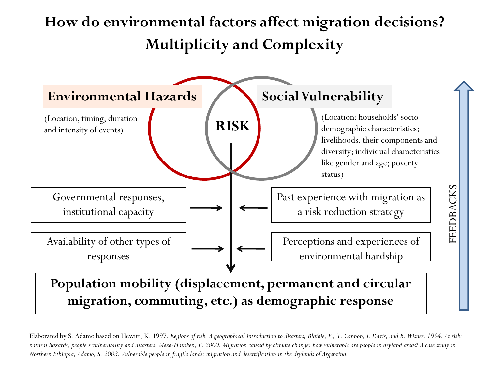#### **How do environmental factors affect migration decisions? Multiplicity and Complexity**



**migration, commuting, etc.) as demographic response**

Elaborated by S. Adamo based on Hewitt, K. 1997. *Regions of risk. A geographical introduction to disasters; Blaikie, P., T. Cannon, I. Davis, and B. Wisner. 1994. At risk: natural hazards, people's vulnerability and disasters; Meze-Hausken, E. 2000. Migration caused by climate change: how vulnerable are people in dryland areas? A case study in Northern Ethiopia; Adamo, S. 2003. Vulnerable people in fragile lands: migration and desertification in the drylands of Argentina.*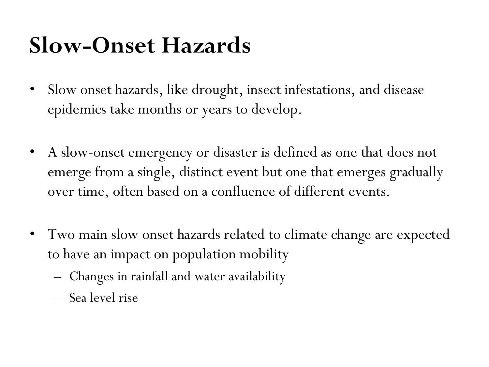## **Slow-Onset Hazards**

- Slow onset hazards, like drought, insect infestations, and disease epidemics take months or years to develop.
- A slow-onset emergency or disaster is defined as one that does not emerge from a single, distinct event but one that emerges gradually over time, often based on a confluence of different events.
- Two main slow onset hazards related to climate change are expected to have an impact on population mobility
	- Changes in rainfall and water availability
	- Sea level rise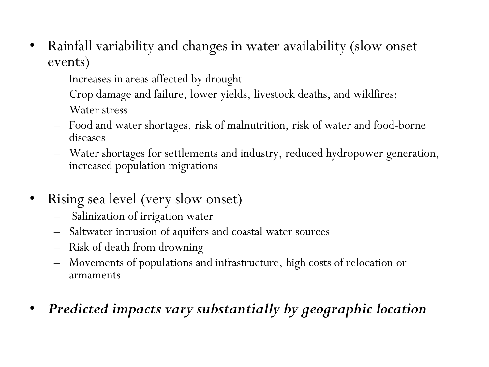- Rainfall variability and changes in water availability (slow onset events)
	- Increases in areas affected by drought
	- Crop damage and failure, lower yields, livestock deaths, and wildfires;
	- Water stress
	- Food and water shortages, risk of malnutrition, risk of water and food-borne diseases
	- Water shortages for settlements and industry, reduced hydropower generation, increased population migrations
- Rising sea level (very slow onset)
	- Salinization of irrigation water
	- Saltwater intrusion of aquifers and coastal water sources
	- Risk of death from drowning
	- Movements of populations and infrastructure, high costs of relocation or armaments
- *Predicted impacts vary substantially by geographic location*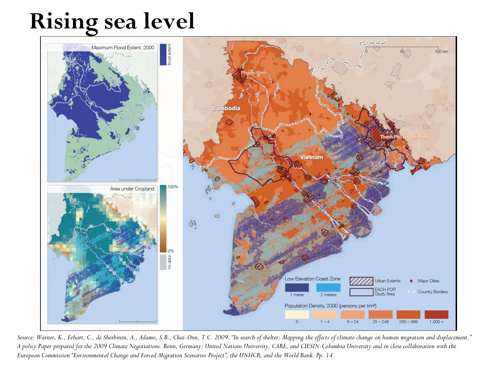### **Rising sea level**



*Source: Warner, K., Erhart, C., de Sherbinin, A., Adamo, S.B., Chai-Onn, T.C. 2009. "In search of shelter: Mapping the effects of climate change on human migration and displacement." A policy Paper prepared for the 2009 Climate Negotiations. Bonn, Germany: United Nations University, CARE, and CIESIN-Columbia University and in close collaboration with the European Commission "Environmental Change and Forced Migration Scenarios Project", the UNHCR, and the World Bank. Pp. 14*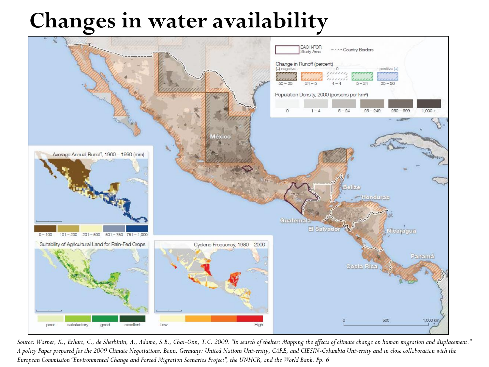#### **Changes in water availability**



*Source: Warner, K., Erhart, C., de Sherbinin, A., Adamo, S.B., Chai-Onn, T.C. 2009. "In search of shelter: Mapping the effects of climate change on human migration and displacement." A policy Paper prepared for the 2009 Climate Negotiations. Bonn, Germany: United Nations University, CARE, and CIESIN-Columbia University and in close collaboration with the European Commission "Environmental Change and Forced Migration Scenarios Project", the UNHCR, and the World Bank. Pp. 6*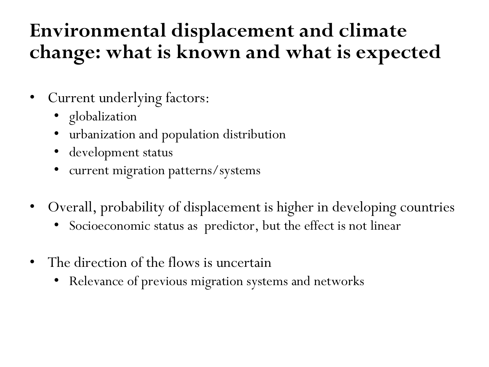#### **Environmental displacement and climate change: what is known and what is expected**

- Current underlying factors:
	- globalization
	- urbanization and population distribution
	- development status
	- current migration patterns/systems
- Overall, probability of displacement is higher in developing countries
	- Socioeconomic status as predictor, but the effect is not linear
- The direction of the flows is uncertain
	- Relevance of previous migration systems and networks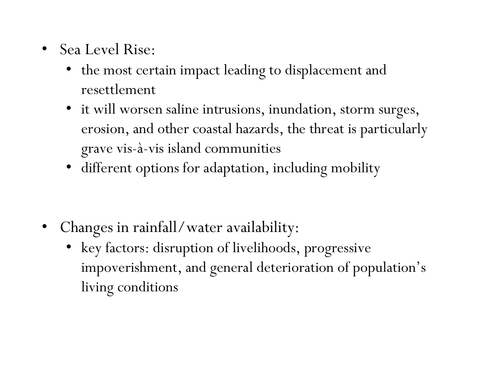- Sea Level Rise:
	- the most certain impact leading to displacement and resettlement
	- it will worsen saline intrusions, inundation, storm surges, erosion, and other coastal hazards, the threat is particularly grave vis-à-vis island communities
	- different options for adaptation, including mobility

- Changes in rainfall/water availability:
	- key factors: disruption of livelihoods, progressive impoverishment, and general deterioration of population's living conditions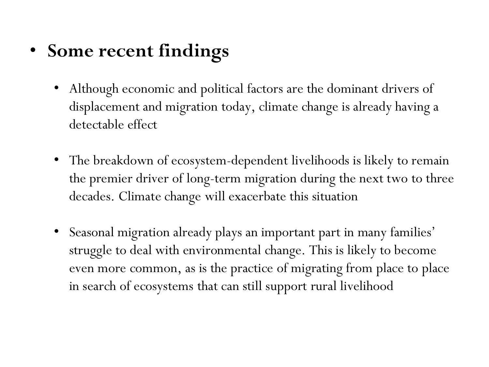- **Some recent findings**
	- Although economic and political factors are the dominant drivers of displacement and migration today, climate change is already having a detectable effect
	- The breakdown of ecosystem-dependent livelihoods is likely to remain the premier driver of long-term migration during the next two to three decades. Climate change will exacerbate this situation
	- Seasonal migration already plays an important part in many families' struggle to deal with environmental change. This is likely to become even more common, as is the practice of migrating from place to place in search of ecosystems that can still support rural livelihood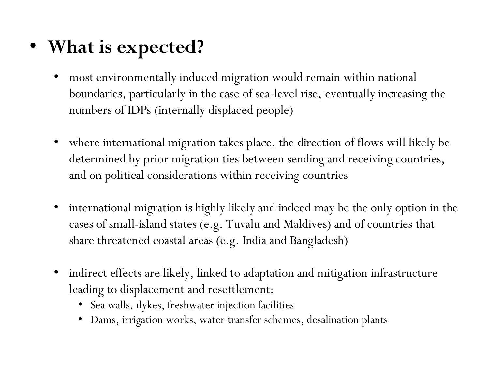- **What is expected?**
	- most environmentally induced migration would remain within national boundaries, particularly in the case of sea-level rise, eventually increasing the numbers of IDPs (internally displaced people)
	- where international migration takes place, the direction of flows will likely be determined by prior migration ties between sending and receiving countries, and on political considerations within receiving countries
	- international migration is highly likely and indeed may be the only option in the cases of small-island states (e.g. Tuvalu and Maldives) and of countries that share threatened coastal areas (e.g. India and Bangladesh)
	- indirect effects are likely, linked to adaptation and mitigation infrastructure leading to displacement and resettlement:
		- Sea walls, dykes, freshwater injection facilities
		- Dams, irrigation works, water transfer schemes, desalination plants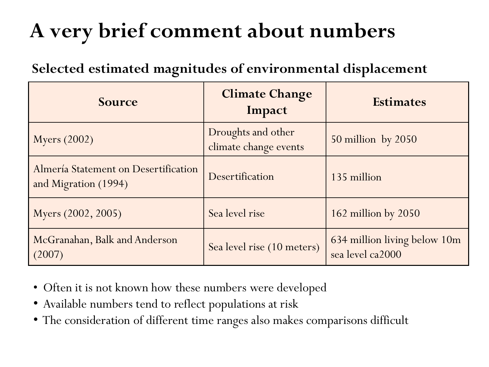#### **A very brief comment about numbers**

#### **Selected estimated magnitudes of environmental displacement**

| <b>Source</b>                                                | <b>Climate Change</b><br>Impact             | <b>Estimates</b>                                 |
|--------------------------------------------------------------|---------------------------------------------|--------------------------------------------------|
| <b>Myers</b> (2002)                                          | Droughts and other<br>climate change events | $50$ million by $2050$                           |
| Almería Statement on Desertification<br>and Migration (1994) | Desertification                             | 135 million                                      |
| Myers (2002, 2005)                                           | Sea level rise                              | $162$ million by $2050$                          |
| McGranahan, Balk and Anderson<br>(2007)                      | Sea level rise (10 meters)                  | 634 million living below 10m<br>sea level ca2000 |

- Often it is not known how these numbers were developed
- Available numbers tend to reflect populations at risk
- The consideration of different time ranges also makes comparisons difficult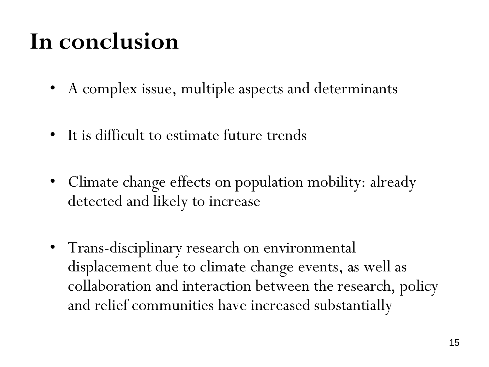## **In conclusion**

- A complex issue, multiple aspects and determinants
- It is difficult to estimate future trends
- Climate change effects on population mobility: already detected and likely to increase
- Trans-disciplinary research on environmental displacement due to climate change events, as well as collaboration and interaction between the research, policy and relief communities have increased substantially